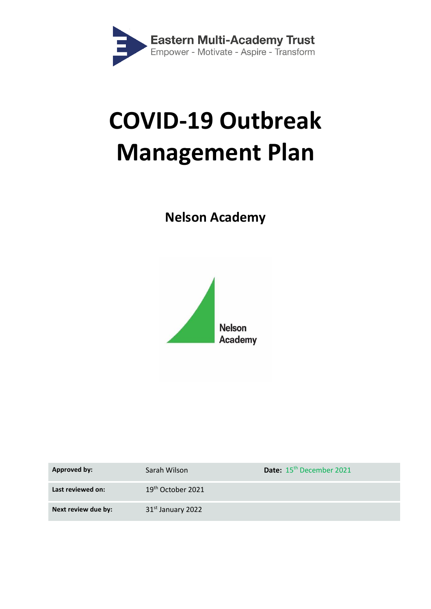

# **COVID-19 Outbreak Management Plan**

# **Nelson Academy**



| Approved by:        | Sarah Wilson                  | Date: 15 <sup>th</sup> December 2021 |
|---------------------|-------------------------------|--------------------------------------|
| Last reviewed on:   | $19th$ October 2021           |                                      |
| Next review due by: | 31 <sup>st</sup> January 2022 |                                      |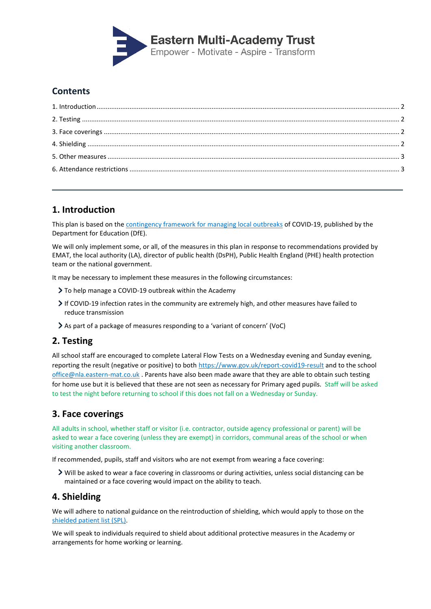

# **Contents**

# <span id="page-1-0"></span>**1. Introduction**

This plan is based on the [contingency framework for managing local outbreaks](https://www.gov.uk/government/publications/coronavirus-covid-19-local-restrictions-in-education-and-childcare-settings) of COVID-19, published by the Department for Education (DfE).

We will only implement some, or all, of the measures in this plan in response to recommendations provided by EMAT, the local authority (LA), director of public health (DsPH), Public Health England (PHE) health protection team or the national government.

It may be necessary to implement these measures in the following circumstances:

- To help manage a COVID-19 outbreak within the Academy
- If COVID-19 infection rates in the community are extremely high, and other measures have failed to reduce transmission
- As part of a package of measures responding to a 'variant of concern' (VoC)

# <span id="page-1-1"></span>**2. Testing**

All school staff are encouraged to complete Lateral Flow Tests on a Wednesday evening and Sunday evening, reporting the result (negative or positive) to both<https://www.gov.uk/report-covid19-result> and to the school office@nla.eastern-mat.co.uk . Parents have also been made aware that they are able to obtain such testing for home use but it is believed that these are not seen as necessary for Primary aged pupils. Staff will be asked to test the night before returning to school if this does not fall on a Wednesday or Sunday.

### <span id="page-1-2"></span>**3. Face coverings**

All adults in school, whether staff or visitor (i.e. contractor, outside agency professional or parent) will be asked to wear a face covering (unless they are exempt) in corridors, communal areas of the school or when visiting another classroom.

If recommended, pupils, staff and visitors who are not exempt from wearing a face covering:

Will be asked to wear a face covering in classrooms or during activities, unless social distancing can be maintained or a face covering would impact on the ability to teach.

#### <span id="page-1-3"></span>**4. Shielding**

We will adhere to national guidance on the reintroduction of shielding, which would apply to those on the [shielded patient list \(SPL\).](https://digital.nhs.uk/coronavirus/shielded-patient-list)

We will speak to individuals required to shield about additional protective measures in the Academy or arrangements for home working or learning.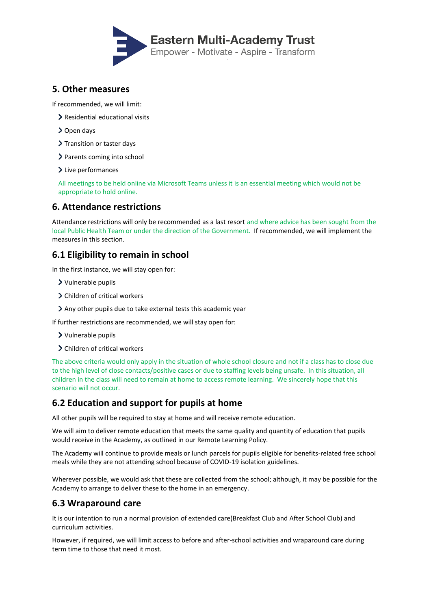

#### <span id="page-2-0"></span>**5. Other measures**

If recommended, we will limit:

- > Residential educational visits
- > Open days
- > Transition or taster days
- > Parents coming into school
- > Live performances

All meetings to be held online via Microsoft Teams unless it is an essential meeting which would not be appropriate to hold online.

#### <span id="page-2-1"></span>**6. Attendance restrictions**

Attendance restrictions will only be recommended as a last resort and where advice has been sought from the local Public Health Team or under the direction of the Government. If recommended, we will implement the measures in this section.

#### **6.1 Eligibility to remain in school**

In the first instance, we will stay open for:

- Vulnerable pupils
- Children of critical workers
- Any other pupils due to take external tests this academic year

If further restrictions are recommended, we will stay open for:

- Vulnerable pupils
- > Children of critical workers

The above criteria would only apply in the situation of whole school closure and not if a class has to close due to the high level of close contacts/positive cases or due to staffing levels being unsafe. In this situation, all children in the class will need to remain at home to access remote learning. We sincerely hope that this scenario will not occur.

#### **6.2 Education and support for pupils at home**

All other pupils will be required to stay at home and will receive remote education.

We will aim to deliver remote education that meets the same quality and quantity of education that pupils would receive in the Academy, as outlined in our Remote Learning Policy.

The Academy will continue to provide meals or lunch parcels for pupils eligible for benefits-related free school meals while they are not attending school because of COVID-19 isolation guidelines.

Wherever possible, we would ask that these are collected from the school; although, it may be possible for the Academy to arrange to deliver these to the home in an emergency.

#### **6.3 Wraparound care**

It is our intention to run a normal provision of extended care(Breakfast Club and After School Club) and curriculum activities.

However, if required, we will limit access to before and after-school activities and wraparound care during term time to those that need it most.